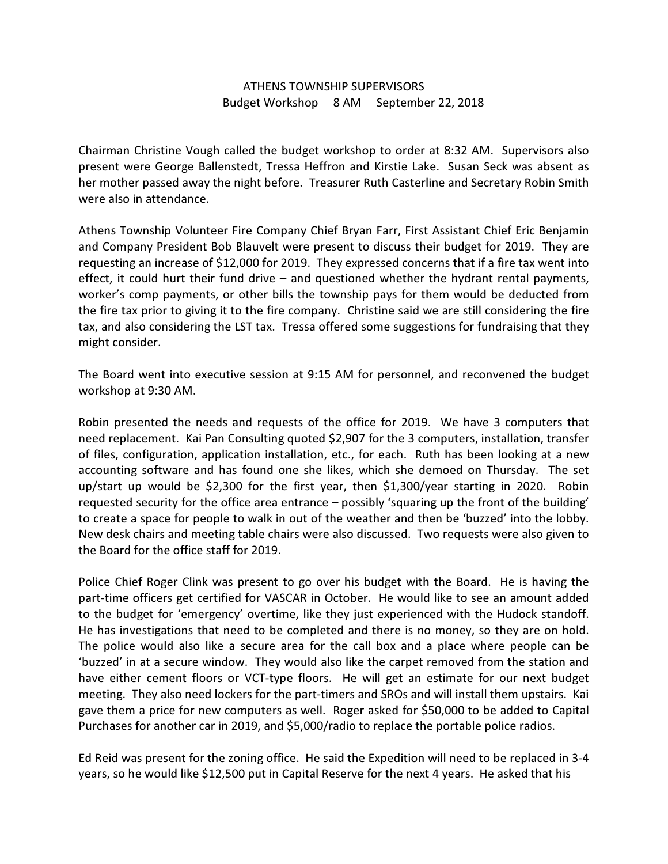## ATHENS TOWNSHIP SUPERVISORS Budget Workshop 8 AM September 22, 2018

Chairman Christine Vough called the budget workshop to order at 8:32 AM. Supervisors also present were George Ballenstedt, Tressa Heffron and Kirstie Lake. Susan Seck was absent as her mother passed away the night before. Treasurer Ruth Casterline and Secretary Robin Smith were also in attendance.

Athens Township Volunteer Fire Company Chief Bryan Farr, First Assistant Chief Eric Benjamin and Company President Bob Blauvelt were present to discuss their budget for 2019. They are requesting an increase of \$12,000 for 2019. They expressed concerns that if a fire tax went into effect, it could hurt their fund drive – and questioned whether the hydrant rental payments, worker's comp payments, or other bills the township pays for them would be deducted from the fire tax prior to giving it to the fire company. Christine said we are still considering the fire tax, and also considering the LST tax. Tressa offered some suggestions for fundraising that they might consider.

The Board went into executive session at 9:15 AM for personnel, and reconvened the budget workshop at 9:30 AM.

Robin presented the needs and requests of the office for 2019. We have 3 computers that need replacement. Kai Pan Consulting quoted \$2,907 for the 3 computers, installation, transfer of files, configuration, application installation, etc., for each. Ruth has been looking at a new accounting software and has found one she likes, which she demoed on Thursday. The set up/start up would be \$2,300 for the first year, then \$1,300/year starting in 2020. Robin requested security for the office area entrance – possibly 'squaring up the front of the building' to create a space for people to walk in out of the weather and then be 'buzzed' into the lobby. New desk chairs and meeting table chairs were also discussed. Two requests were also given to the Board for the office staff for 2019.

Police Chief Roger Clink was present to go over his budget with the Board. He is having the part-time officers get certified for VASCAR in October. He would like to see an amount added to the budget for 'emergency' overtime, like they just experienced with the Hudock standoff. He has investigations that need to be completed and there is no money, so they are on hold. The police would also like a secure area for the call box and a place where people can be 'buzzed' in at a secure window. They would also like the carpet removed from the station and have either cement floors or VCT-type floors. He will get an estimate for our next budget meeting. They also need lockers for the part-timers and SROs and will install them upstairs. Kai gave them a price for new computers as well. Roger asked for \$50,000 to be added to Capital Purchases for another car in 2019, and \$5,000/radio to replace the portable police radios.

Ed Reid was present for the zoning office. He said the Expedition will need to be replaced in 3-4 years, so he would like \$12,500 put in Capital Reserve for the next 4 years. He asked that his